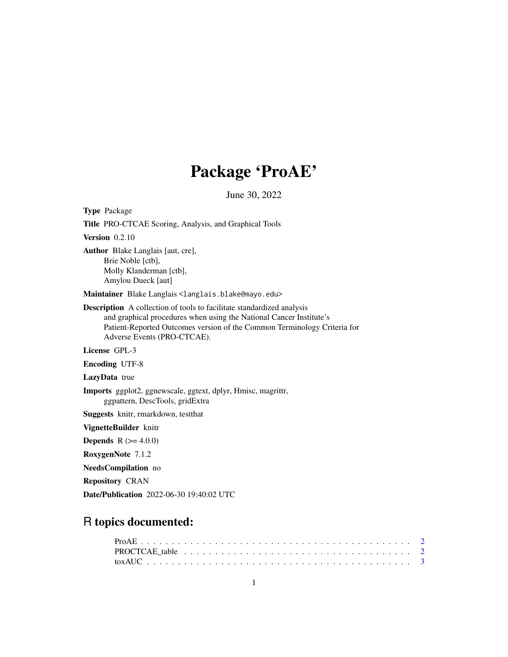# Package 'ProAE'

June 30, 2022

| <b>Type</b> Package                                                                                                                                                                                                                                            |
|----------------------------------------------------------------------------------------------------------------------------------------------------------------------------------------------------------------------------------------------------------------|
| <b>Title PRO-CTCAE Scoring, Analysis, and Graphical Tools</b>                                                                                                                                                                                                  |
| Version $0.2.10$                                                                                                                                                                                                                                               |
| <b>Author</b> Blake Langlais [aut, cre],<br>Brie Noble [ctb],<br>Molly Klanderman [ctb],<br>Amylou Dueck [aut]                                                                                                                                                 |
| Maintainer Blake Langlais <langlais.blake@mayo.edu></langlais.blake@mayo.edu>                                                                                                                                                                                  |
| <b>Description</b> A collection of tools to facilitate standardized analysis<br>and graphical procedures when using the National Cancer Institute's<br>Patient-Reported Outcomes version of the Common Terminology Criteria for<br>Adverse Events (PRO-CTCAE). |
| License GPL-3                                                                                                                                                                                                                                                  |
| <b>Encoding UTF-8</b>                                                                                                                                                                                                                                          |
| LazyData true                                                                                                                                                                                                                                                  |
| <b>Imports</b> ggplot2, ggnewscale, ggtext, dplyr, Hmisc, magrittr,<br>ggpattern, DescTools, gridExtra                                                                                                                                                         |
| <b>Suggests</b> knitr, rmarkdown, test that                                                                                                                                                                                                                    |
| VignetteBuilder knitr                                                                                                                                                                                                                                          |
| <b>Depends</b> $R (= 4.0.0)$                                                                                                                                                                                                                                   |
| RoxygenNote 7.1.2                                                                                                                                                                                                                                              |
| NeedsCompilation no                                                                                                                                                                                                                                            |

Repository CRAN

Date/Publication 2022-06-30 19:40:02 UTC

# R topics documented: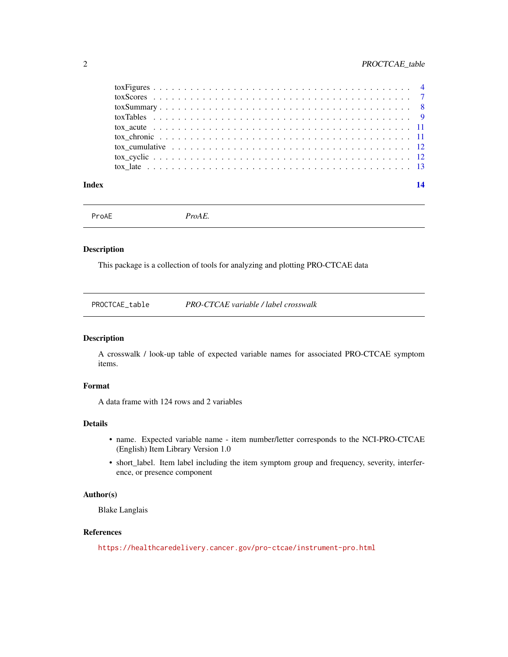### <span id="page-1-0"></span>2 PROCTCAE\_table

| Index |                                                                                                                                                  | 14 |
|-------|--------------------------------------------------------------------------------------------------------------------------------------------------|----|
|       |                                                                                                                                                  |    |
|       |                                                                                                                                                  |    |
|       | tox cumulative $\ldots$ , $\ldots$ , $\ldots$ , $\ldots$ , $\ldots$ , $\ldots$ , $\ldots$ , $\ldots$ , $\ldots$ , $\ldots$ , $\ldots$ , $\ldots$ |    |
|       |                                                                                                                                                  |    |
|       |                                                                                                                                                  |    |
|       |                                                                                                                                                  |    |
|       |                                                                                                                                                  |    |
|       |                                                                                                                                                  |    |
|       |                                                                                                                                                  |    |

ProAE *ProAE.*

### Description

This package is a collection of tools for analyzing and plotting PRO-CTCAE data

### Description

A crosswalk / look-up table of expected variable names for associated PRO-CTCAE symptom items.

### Format

A data frame with 124 rows and 2 variables

### Details

- name. Expected variable name item number/letter corresponds to the NCI-PRO-CTCAE (English) Item Library Version 1.0
- short\_label. Item label including the item symptom group and frequency, severity, interference, or presence component

#### Author(s)

Blake Langlais

### References

<https://healthcaredelivery.cancer.gov/pro-ctcae/instrument-pro.html>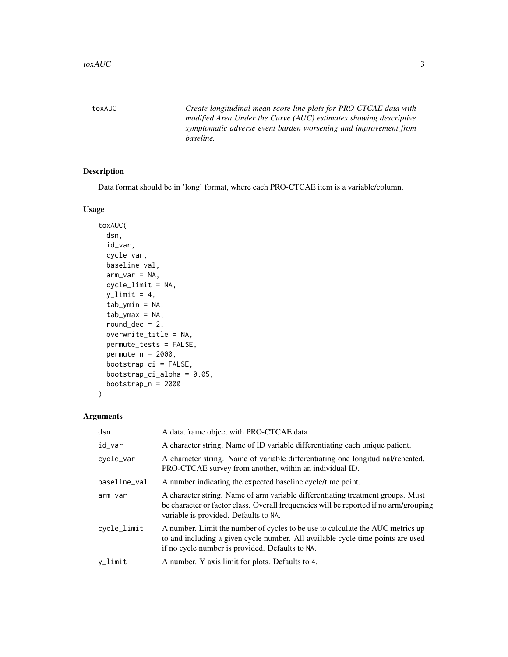<span id="page-2-0"></span>toxAUC *Create longitudinal mean score line plots for PRO-CTCAE data with modified Area Under the Curve (AUC) estimates showing descriptive symptomatic adverse event burden worsening and improvement from baseline.*

### Description

Data format should be in 'long' format, where each PRO-CTCAE item is a variable/column.

### Usage

```
toxAUC(
 dsn,
  id_var,
 cycle_var,
 baseline_val,
 arm_var = NA,
  cycle_limit = NA,
 y<sup>1imit = 4,</sup>
  tab_ymin = NA,
  tab_ymax = NA,round_dec = 2,
 overwrite_title = NA,
 permute_tests = FALSE,
 permute_n = 2000,
 bootstrap_ci = FALSE,
 bootstrap_ci_alpha = 0.05,
 bootstrap_n = 2000)
```
### Arguments

| dsn          | A data.frame object with PRO-CTCAE data                                                                                                                                                                              |
|--------------|----------------------------------------------------------------------------------------------------------------------------------------------------------------------------------------------------------------------|
| id_var       | A character string. Name of ID variable differentiating each unique patient.                                                                                                                                         |
| cycle_var    | A character string. Name of variable differentiating one longitudinal/repeated.<br>PRO-CTCAE survey from another, within an individual ID.                                                                           |
| baseline_val | A number indicating the expected baseline cycle/time point.                                                                                                                                                          |
| arm_var      | A character string. Name of arm variable differentiating treatment groups. Must<br>be character or factor class. Overall frequencies will be reported if no arm/grouping<br>variable is provided. Defaults to NA.    |
| cycle_limit  | A number. Limit the number of cycles to be use to calculate the AUC metrics up<br>to and including a given cycle number. All available cycle time points are used<br>if no cycle number is provided. Defaults to NA. |
| $v_l$ imit   | A number. Y axis limit for plots. Defaults to 4.                                                                                                                                                                     |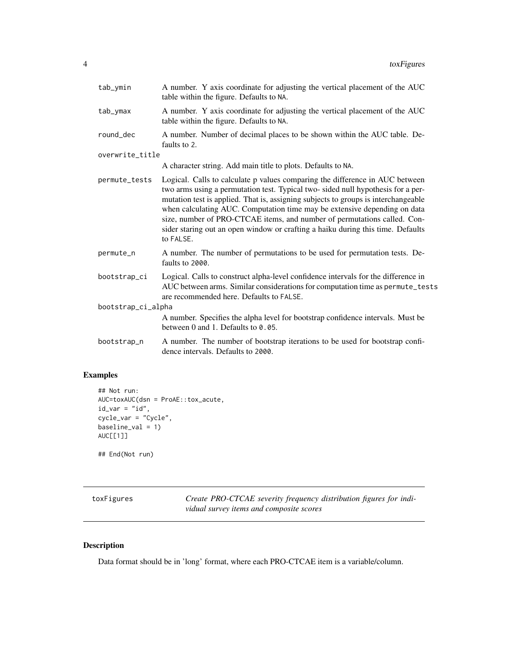<span id="page-3-0"></span>

| tab_ymin           | A number. Y axis coordinate for adjusting the vertical placement of the AUC<br>table within the figure. Defaults to NA.                                                                                                                                                                                                                                                                                                                                                                                        |  |  |  |  |  |
|--------------------|----------------------------------------------------------------------------------------------------------------------------------------------------------------------------------------------------------------------------------------------------------------------------------------------------------------------------------------------------------------------------------------------------------------------------------------------------------------------------------------------------------------|--|--|--|--|--|
| tab_ymax           | A number. Y axis coordinate for adjusting the vertical placement of the AUC<br>table within the figure. Defaults to NA.                                                                                                                                                                                                                                                                                                                                                                                        |  |  |  |  |  |
| round_dec          | A number. Number of decimal places to be shown within the AUC table. De-<br>faults to 2.                                                                                                                                                                                                                                                                                                                                                                                                                       |  |  |  |  |  |
| overwrite_title    |                                                                                                                                                                                                                                                                                                                                                                                                                                                                                                                |  |  |  |  |  |
|                    | A character string. Add main title to plots. Defaults to NA.                                                                                                                                                                                                                                                                                                                                                                                                                                                   |  |  |  |  |  |
| permute_tests      | Logical. Calls to calculate p values comparing the difference in AUC between<br>two arms using a permutation test. Typical two-sided null hypothesis for a per-<br>mutation test is applied. That is, assigning subjects to groups is interchangeable<br>when calculating AUC. Computation time may be extensive depending on data<br>size, number of PRO-CTCAE items, and number of permutations called. Con-<br>sider staring out an open window or crafting a haiku during this time. Defaults<br>to FALSE. |  |  |  |  |  |
| permute_n          | A number. The number of permutations to be used for permutation tests. De-<br>faults to 2000.                                                                                                                                                                                                                                                                                                                                                                                                                  |  |  |  |  |  |
| bootstrap_ci       | Logical. Calls to construct alpha-level confidence intervals for the difference in<br>AUC between arms. Similar considerations for computation time as permute_tests<br>are recommended here. Defaults to FALSE.                                                                                                                                                                                                                                                                                               |  |  |  |  |  |
| bootstrap_ci_alpha |                                                                                                                                                                                                                                                                                                                                                                                                                                                                                                                |  |  |  |  |  |
|                    | A number. Specifies the alpha level for bootstrap confidence intervals. Must be<br>between 0 and 1. Defaults to 0.05.                                                                                                                                                                                                                                                                                                                                                                                          |  |  |  |  |  |
| bootstrap_n        | A number. The number of bootstrap iterations to be used for bootstrap confi-<br>dence intervals. Defaults to 2000.                                                                                                                                                                                                                                                                                                                                                                                             |  |  |  |  |  |
|                    |                                                                                                                                                                                                                                                                                                                                                                                                                                                                                                                |  |  |  |  |  |

### Examples

```
## Not run:
AUC=toxAUC(dsn = ProAE::tox_acute,
id\_var = "id",cycle_var = "Cycle",
baseline_val = 1)
AUC[[1]]
```
## End(Not run)

toxFigures *Create PRO-CTCAE severity frequency distribution figures for individual survey items and composite scores*

### Description

Data format should be in 'long' format, where each PRO-CTCAE item is a variable/column.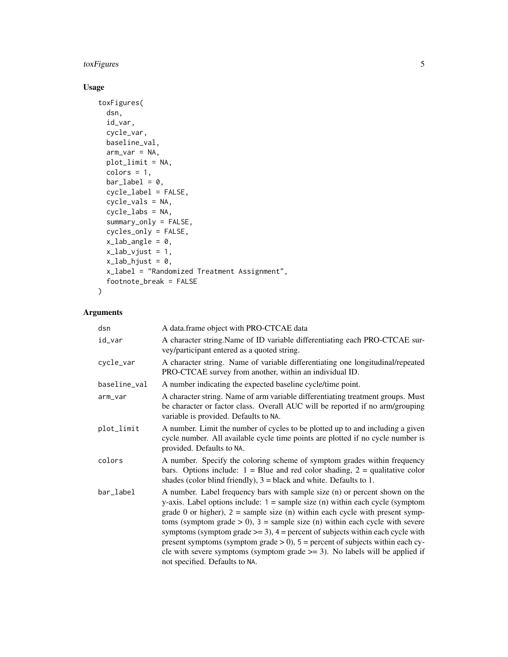### toxFigures 5

### Usage

```
toxFigures(
  dsn,
  id_var,
  cycle_var,
  baseline_val,
  arm\_var = NA,
  plot_limit = NA,
  colors = 1,bar\_label = 0,
  cycle_label = FALSE,
  cycle_vals = NA,
  cycle_labs = NA,
  summary_only = FALSE,
  cycles_only = FALSE,
  x<sup>1</sup>ab<sub>_angle</sub> = 0,
  x<sup>1</sup>ab<sub>-V</sub>just = 1,
  x<sup>l</sup>ab_hjust = 0,
  x_label = "Randomized Treatment Assignment",
  footnote_break = FALSE
\mathcal{L}
```
### Arguments

| dsn          | A data.frame object with PRO-CTCAE data                                                                                                                                                                                                                                                                                                                                                                                                                                                                                                                                                                                                |
|--------------|----------------------------------------------------------------------------------------------------------------------------------------------------------------------------------------------------------------------------------------------------------------------------------------------------------------------------------------------------------------------------------------------------------------------------------------------------------------------------------------------------------------------------------------------------------------------------------------------------------------------------------------|
| id_var       | A character string. Name of ID variable differentiating each PRO-CTCAE sur-<br>vey/participant entered as a quoted string.                                                                                                                                                                                                                                                                                                                                                                                                                                                                                                             |
| cycle_var    | A character string. Name of variable differentiating one longitudinal/repeated<br>PRO-CTCAE survey from another, within an individual ID.                                                                                                                                                                                                                                                                                                                                                                                                                                                                                              |
| baseline_val | A number indicating the expected baseline cycle/time point.                                                                                                                                                                                                                                                                                                                                                                                                                                                                                                                                                                            |
| arm_var      | A character string. Name of arm variable differentiating treatment groups. Must<br>be character or factor class. Overall AUC will be reported if no arm/grouping<br>variable is provided. Defaults to NA.                                                                                                                                                                                                                                                                                                                                                                                                                              |
| plot_limit   | A number. Limit the number of cycles to be plotted up to and including a given<br>cycle number. All available cycle time points are plotted if no cycle number is<br>provided. Defaults to NA.                                                                                                                                                                                                                                                                                                                                                                                                                                         |
| colors       | A number. Specify the coloring scheme of symptom grades within frequency<br>bars. Options include: $1 =$ Blue and red color shading, $2 =$ qualitative color<br>shades (color blind friendly), $3 =$ black and white. Defaults to 1.                                                                                                                                                                                                                                                                                                                                                                                                   |
| bar_label    | A number. Label frequency bars with sample size (n) or percent shown on the<br>y-axis. Label options include: $1 =$ sample size (n) within each cycle (symptom<br>grade 0 or higher), $2 =$ sample size (n) within each cycle with present symp-<br>toms (symptom grade $> 0$ ), $3 =$ sample size (n) within each cycle with severe<br>symptoms (symptom grade $\ge$ = 3), 4 = percent of subjects within each cycle with<br>present symptoms (symptom grade $> 0$ ), $5 =$ percent of subjects within each cy-<br>cle with severe symptoms (symptom grade $\ge$ = 3). No labels will be applied if<br>not specified. Defaults to NA. |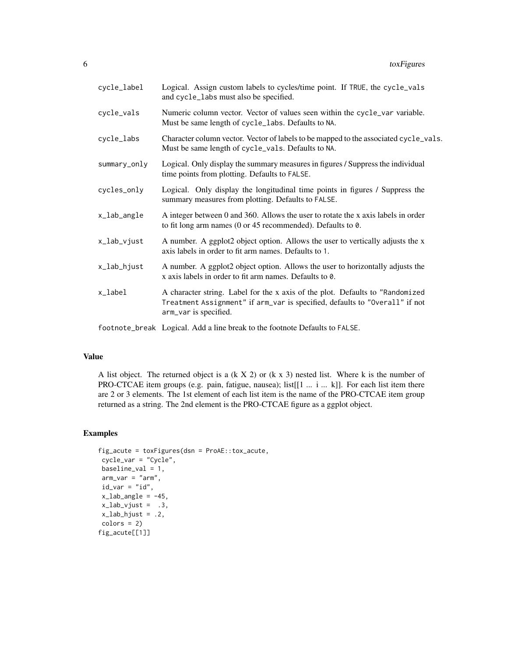| cycle_label  | Logical. Assign custom labels to cycles/time point. If TRUE, the cycle_vals<br>and cycle_labs must also be specified.                                                                 |
|--------------|---------------------------------------------------------------------------------------------------------------------------------------------------------------------------------------|
| cycle_vals   | Numeric column vector. Vector of values seen within the cycle_var variable.<br>Must be same length of cycle_labs. Defaults to NA.                                                     |
| cycle_labs   | Character column vector. Vector of labels to be mapped to the associated cycle_vals.<br>Must be same length of cycle_vals. Defaults to NA.                                            |
| summary_only | Logical. Only display the summary measures in figures / Suppress the individual<br>time points from plotting. Defaults to FALSE.                                                      |
| cycles_only  | Logical. Only display the longitudinal time points in figures / Suppress the<br>summary measures from plotting. Defaults to FALSE.                                                    |
| x_lab_angle  | A integer between 0 and 360. Allows the user to rotate the x axis labels in order<br>to fit long arm names (0 or 45 recommended). Defaults to $\theta$ .                              |
| x_lab_vjust  | A number. A ggplot2 object option. Allows the user to vertically adjusts the x<br>axis labels in order to fit arm names. Defaults to 1.                                               |
| x_lab_hjust  | A number. A ggplot2 object option. Allows the user to horizontally adjusts the<br>x axis labels in order to fit arm names. Defaults to 0.                                             |
| x_label      | A character string. Label for the x axis of the plot. Defaults to "Randomized<br>Treatment Assignment" if arm_var is specified, defaults to "Overall" if not<br>arm_var is specified. |

footnote\_break Logical. Add a line break to the footnote Defaults to FALSE.

#### Value

A list object. The returned object is a  $(k \times 2)$  or  $(k \times 3)$  nested list. Where k is the number of PRO-CTCAE item groups (e.g. pain, fatigue, nausea); list[[1 ... i ... k]]. For each list item there are 2 or 3 elements. The 1st element of each list item is the name of the PRO-CTCAE item group returned as a string. The 2nd element is the PRO-CTCAE figure as a ggplot object.

### Examples

```
fig_acute = toxFigures(dsn = ProAE::tox_acute,
cycle_var = "Cycle",
baseline_val = 1,
arm_var = "arm",
id\_var = "id",x<sup>1</sup>ab_angle = -45,
x<sup>1</sup>ab_vjust = .3,
x<sup>1</sup>ab_hjust = .2,
colors = 2)fig_acute[[1]]
```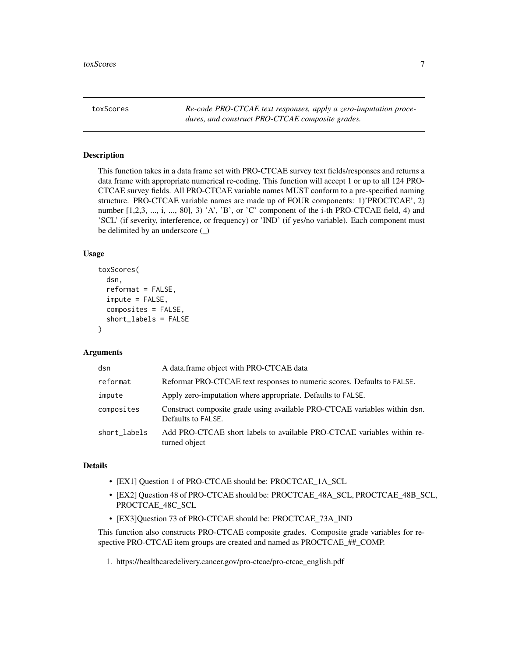<span id="page-6-0"></span>toxScores *Re-code PRO-CTCAE text responses, apply a zero-imputation procedures, and construct PRO-CTCAE composite grades.*

#### Description

This function takes in a data frame set with PRO-CTCAE survey text fields/responses and returns a data frame with appropriate numerical re-coding. This function will accept 1 or up to all 124 PRO-CTCAE survey fields. All PRO-CTCAE variable names MUST conform to a pre-specified naming structure. PRO-CTCAE variable names are made up of FOUR components: 1)'PROCTCAE', 2) number  $[1,2,3, ..., i, ..., 80], 3'$  A', 'B', or 'C' component of the i-th PRO-CTCAE field, 4) and 'SCL' (if severity, interference, or frequency) or 'IND' (if yes/no variable). Each component must be delimited by an underscore (\_)

#### Usage

```
toxScores(
  dsn,
  reformat = FALSE,
  impute = FALSE,
  composites = FALSE,
  short_labels = FALSE
)
```
#### Arguments

| dsn          | A data frame object with PRO-CTCAE data                                                         |
|--------------|-------------------------------------------------------------------------------------------------|
| reformat     | Reformat PRO-CTCAE text responses to numeric scores. Defaults to FALSE.                         |
| impute       | Apply zero-imputation where appropriate. Defaults to FALSE.                                     |
| composites   | Construct composite grade using available PRO-CTCAE variables within dsn.<br>Defaults to FALSE. |
| short_labels | Add PRO-CTCAE short labels to available PRO-CTCAE variables within re-<br>turned object         |

#### Details

- [EX1] Question 1 of PRO-CTCAE should be: PROCTCAE\_1A\_SCL
- [EX2] Question 48 of PRO-CTCAE should be: PROCTCAE\_48A\_SCL, PROCTCAE\_48B\_SCL, PROCTCAE\_48C\_SCL
- [EX3]Question 73 of PRO-CTCAE should be: PROCTCAE\_73A\_IND

This function also constructs PRO-CTCAE composite grades. Composite grade variables for respective PRO-CTCAE item groups are created and named as PROCTCAE\_##\_COMP.

1. https://healthcaredelivery.cancer.gov/pro-ctcae/pro-ctcae\_english.pdf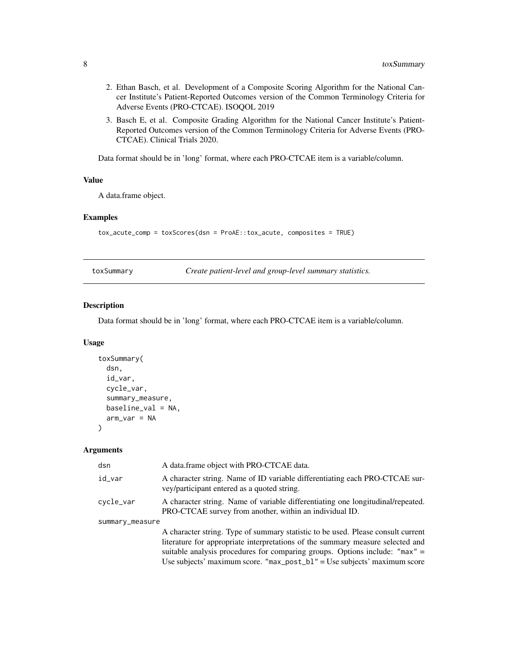- <span id="page-7-0"></span>2. Ethan Basch, et al. Development of a Composite Scoring Algorithm for the National Cancer Institute's Patient-Reported Outcomes version of the Common Terminology Criteria for Adverse Events (PRO-CTCAE). ISOQOL 2019
- 3. Basch E, et al. Composite Grading Algorithm for the National Cancer Institute's Patient-Reported Outcomes version of the Common Terminology Criteria for Adverse Events (PRO-CTCAE). Clinical Trials 2020.

Data format should be in 'long' format, where each PRO-CTCAE item is a variable/column.

### Value

A data.frame object.

#### Examples

```
tox_acute_comp = toxScores(dsn = ProAE::tox_acute, composites = TRUE)
```
toxSummary *Create patient-level and group-level summary statistics.*

#### Description

Data format should be in 'long' format, where each PRO-CTCAE item is a variable/column.

### Usage

```
toxSummary(
  dsn,
  id_var,
  cycle_var,
  summary_measure,
  baseline_val = NA,
  arm_var = NA
\lambda
```
#### Arguments

| dsn             | A data frame object with PRO-CTCAE data.                                                                                                                                                                                                                                                                                          |
|-----------------|-----------------------------------------------------------------------------------------------------------------------------------------------------------------------------------------------------------------------------------------------------------------------------------------------------------------------------------|
| id_var          | A character string. Name of ID variable differentiating each PRO-CTCAE sur-<br>vey/participant entered as a quoted string.                                                                                                                                                                                                        |
| cycle_var       | A character string. Name of variable differentiating one longitudinal/repeated.<br>PRO-CTCAE survey from another, within an individual ID.                                                                                                                                                                                        |
| summary_measure |                                                                                                                                                                                                                                                                                                                                   |
|                 | A character string. Type of summary statistic to be used. Please consult current<br>literature for appropriate interpretations of the summary measure selected and<br>suitable analysis procedures for comparing groups. Options include: "max" =<br>Use subjects' maximum score. " $max\_post_b1"$ = Use subjects' maximum score |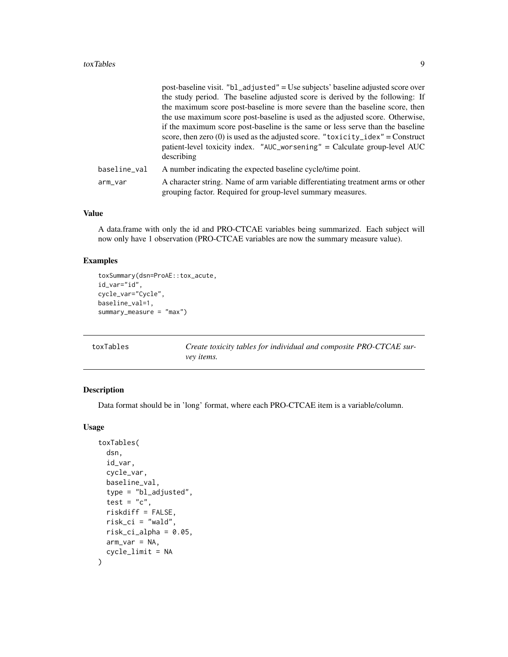#### <span id="page-8-0"></span>toxTables 9

|              | post-baseline visit. "bl_adjusted" = Use subjects' baseline adjusted score over                                                                 |
|--------------|-------------------------------------------------------------------------------------------------------------------------------------------------|
|              | the study period. The baseline adjusted score is derived by the following: If                                                                   |
|              | the maximum score post-baseline is more severe than the baseline score, then                                                                    |
|              | the use maximum score post-baseline is used as the adjusted score. Otherwise,                                                                   |
|              | if the maximum score post-baseline is the same or less serve than the baseline                                                                  |
|              | score, then zero (0) is used as the adjusted score. "toxicity_idex" = Construct                                                                 |
|              | patient-level toxicity index. "AUC_worsening" = Calculate group-level AUC                                                                       |
|              | describing                                                                                                                                      |
| baseline_val | A number indicating the expected baseline cycle/time point.                                                                                     |
| arm_var      | A character string. Name of arm variable differentiating treatment arms or other<br>grouping factor. Required for group-level summary measures. |

### Value

A data.frame with only the id and PRO-CTCAE variables being summarized. Each subject will now only have 1 observation (PRO-CTCAE variables are now the summary measure value).

### Examples

```
toxSummary(dsn=ProAE::tox_acute,
id_var="id",
cycle_var="Cycle",
baseline_val=1,
summary_measure = "max")
```
Create toxicity tables for individual and composite PRO-CTCAE sur*vey items.*

## Description

Data format should be in 'long' format, where each PRO-CTCAE item is a variable/column.

#### Usage

```
toxTables(
  dsn,
  id_var,
 cycle_var,
 baseline_val,
  type = "bl_adjusted",
  test = "c",riskdiff = FALSE,
 risk_ci = "wald",
 risk_ci_alpha = 0.05,
 arm_var = NA,
  cycle_limit = NA
)
```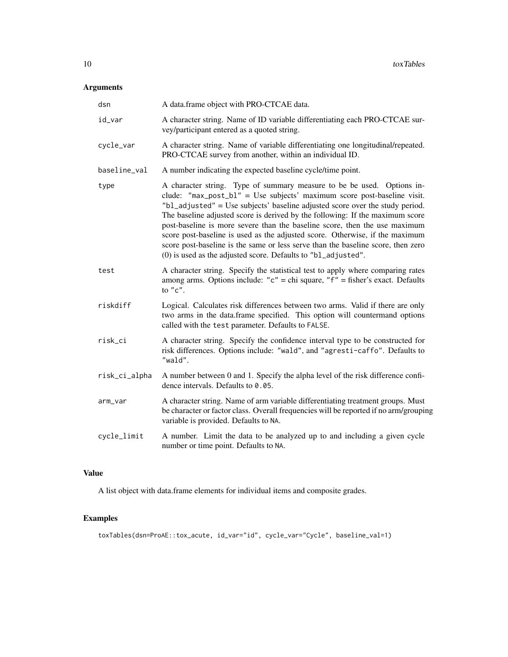### Arguments

| dsn           | A data.frame object with PRO-CTCAE data.                                                                                                                                                                                                                                                                                                                                                                                                                                                                                                                                                                                              |
|---------------|---------------------------------------------------------------------------------------------------------------------------------------------------------------------------------------------------------------------------------------------------------------------------------------------------------------------------------------------------------------------------------------------------------------------------------------------------------------------------------------------------------------------------------------------------------------------------------------------------------------------------------------|
| id_var        | A character string. Name of ID variable differentiating each PRO-CTCAE sur-<br>vey/participant entered as a quoted string.                                                                                                                                                                                                                                                                                                                                                                                                                                                                                                            |
| cycle_var     | A character string. Name of variable differentiating one longitudinal/repeated.<br>PRO-CTCAE survey from another, within an individual ID.                                                                                                                                                                                                                                                                                                                                                                                                                                                                                            |
| baseline_val  | A number indicating the expected baseline cycle/time point.                                                                                                                                                                                                                                                                                                                                                                                                                                                                                                                                                                           |
| type          | A character string. Type of summary measure to be be used. Options in-<br>clude: "max_post_b1" = Use subjects' maximum score post-baseline visit.<br>"bl_adjusted" = Use subjects' baseline adjusted score over the study period.<br>The baseline adjusted score is derived by the following: If the maximum score<br>post-baseline is more severe than the baseline score, then the use maximum<br>score post-baseline is used as the adjusted score. Otherwise, if the maximum<br>score post-baseline is the same or less serve than the baseline score, then zero<br>(0) is used as the adjusted score. Defaults to "bl_adjusted". |
| test          | A character string. Specify the statistical test to apply where comparing rates<br>among arms. Options include: " $c$ " = chi square, " $f$ " = fisher's exact. Defaults<br>to $"c".$                                                                                                                                                                                                                                                                                                                                                                                                                                                 |
| riskdiff      | Logical. Calculates risk differences between two arms. Valid if there are only<br>two arms in the data.frame specified. This option will countermand options<br>called with the test parameter. Defaults to FALSE.                                                                                                                                                                                                                                                                                                                                                                                                                    |
| risk_ci       | A character string. Specify the confidence interval type to be constructed for<br>risk differences. Options include: "wald", and "agresti-caffo". Defaults to<br>"wald".                                                                                                                                                                                                                                                                                                                                                                                                                                                              |
| risk_ci_alpha | A number between 0 and 1. Specify the alpha level of the risk difference confi-<br>dence intervals. Defaults to 0.05.                                                                                                                                                                                                                                                                                                                                                                                                                                                                                                                 |
| arm_var       | A character string. Name of arm variable differentiating treatment groups. Must<br>be character or factor class. Overall frequencies will be reported if no arm/grouping<br>variable is provided. Defaults to NA.                                                                                                                                                                                                                                                                                                                                                                                                                     |
| cycle_limit   | A number. Limit the data to be analyzed up to and including a given cycle<br>number or time point. Defaults to NA.                                                                                                                                                                                                                                                                                                                                                                                                                                                                                                                    |

### Value

A list object with data.frame elements for individual items and composite grades.

### Examples

toxTables(dsn=ProAE::tox\_acute, id\_var="id", cycle\_var="Cycle", baseline\_val=1)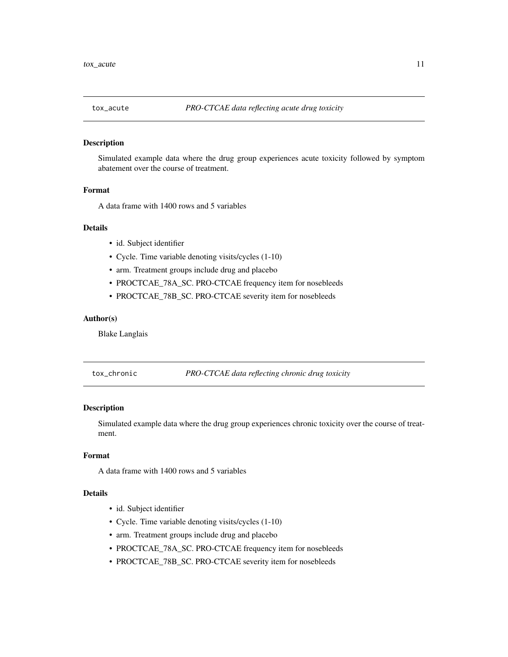<span id="page-10-0"></span>

### Description

Simulated example data where the drug group experiences acute toxicity followed by symptom abatement over the course of treatment.

#### Format

A data frame with 1400 rows and 5 variables

#### Details

- id. Subject identifier
- Cycle. Time variable denoting visits/cycles (1-10)
- arm. Treatment groups include drug and placebo
- PROCTCAE\_78A\_SC. PRO-CTCAE frequency item for nosebleeds
- PROCTCAE\_78B\_SC. PRO-CTCAE severity item for nosebleeds

#### Author(s)

Blake Langlais

tox\_chronic *PRO-CTCAE data reflecting chronic drug toxicity*

### Description

Simulated example data where the drug group experiences chronic toxicity over the course of treatment.

### Format

A data frame with 1400 rows and 5 variables

### Details

- id. Subject identifier
- Cycle. Time variable denoting visits/cycles (1-10)
- arm. Treatment groups include drug and placebo
- PROCTCAE\_78A\_SC. PRO-CTCAE frequency item for nosebleeds
- PROCTCAE\_78B\_SC. PRO-CTCAE severity item for nosebleeds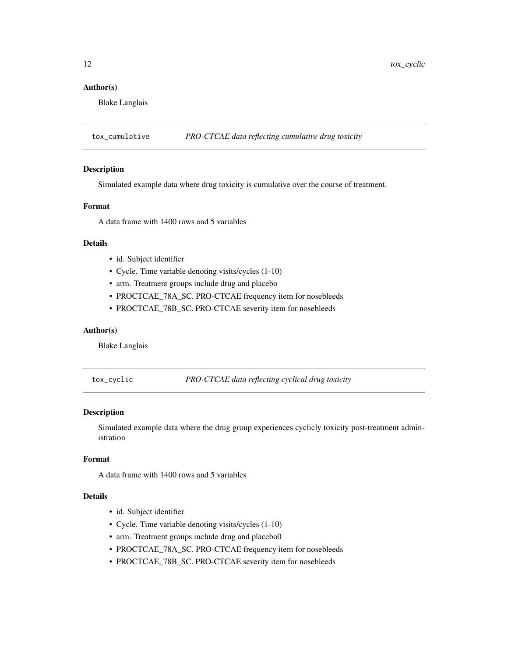### <span id="page-11-0"></span>Author(s)

Blake Langlais

tox\_cumulative *PRO-CTCAE data reflecting cumulative drug toxicity*

### Description

Simulated example data where drug toxicity is cumulative over the course of treatment.

#### Format

A data frame with 1400 rows and 5 variables

### Details

- id. Subject identifier
- Cycle. Time variable denoting visits/cycles (1-10)
- arm. Treatment groups include drug and placebo
- PROCTCAE\_78A\_SC. PRO-CTCAE frequency item for nosebleeds
- PROCTCAE\_78B\_SC. PRO-CTCAE severity item for nosebleeds

#### Author(s)

Blake Langlais

tox\_cyclic *PRO-CTCAE data reflecting cyclical drug toxicity*

#### Description

Simulated example data where the drug group experiences cyclicly toxicity post-treatment administration

#### Format

A data frame with 1400 rows and 5 variables

### Details

- id. Subject identifier
- Cycle. Time variable denoting visits/cycles (1-10)
- arm. Treatment groups include drug and placebo0
- PROCTCAE\_78A\_SC. PRO-CTCAE frequency item for nosebleeds
- PROCTCAE\_78B\_SC. PRO-CTCAE severity item for nosebleeds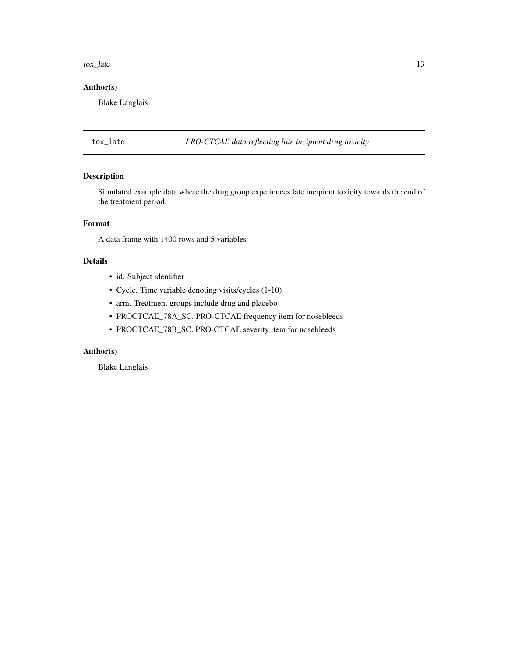#### <span id="page-12-0"></span>tox\_late 13

### Author(s)

Blake Langlais

tox\_late *PRO-CTCAE data reflecting late incipient drug toxicity*

### Description

Simulated example data where the drug group experiences late incipient toxicity towards the end of the treatment period.

### Format

A data frame with 1400 rows and 5 variables

### Details

- id. Subject identifier
- Cycle. Time variable denoting visits/cycles (1-10)
- arm. Treatment groups include drug and placebo
- PROCTCAE\_78A\_SC. PRO-CTCAE frequency item for nosebleeds
- PROCTCAE\_78B\_SC. PRO-CTCAE severity item for nosebleeds

### Author(s)

Blake Langlais